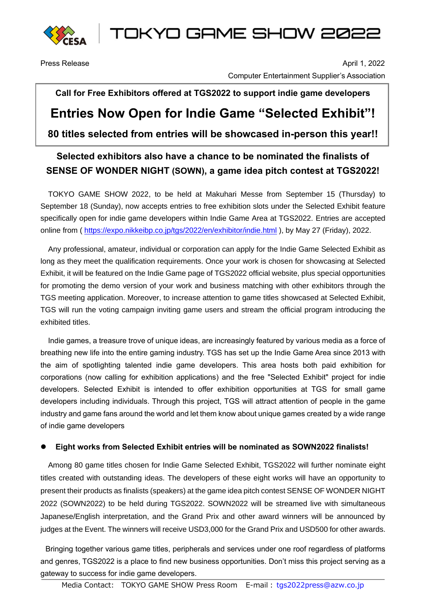

TOKYO GAME SHOW 2022

Press Release April 1, 2022 Computer Entertainment Supplier's Association

# **Call for Free Exhibitors offered at TGS2022 to support indie game developers Entries Now Open for Indie Game "Selected Exhibit"! 80 titles selected from entries will be showcased in-person this year!!**

### **Selected exhibitors also have a chance to be nominated the finalists of SENSE OF WONDER NIGHT (SOWN), a game idea pitch contest at TGS2022!**

TOKYO GAME SHOW 2022, to be held at Makuhari Messe from September 15 (Thursday) to September 18 (Sunday), now accepts entries to free exhibition slots under the Selected Exhibit feature specifically open for indie game developers within Indie Game Area at TGS2022. Entries are accepted online from ( <https://expo.nikkeibp.co.jp/tgs/2022/en/exhibitor/indie.html> ), by May 27 (Friday), 2022.

Any professional, amateur, individual or corporation can apply for the Indie Game Selected Exhibit as long as they meet the qualification requirements. Once your work is chosen for showcasing at Selected Exhibit, it will be featured on the Indie Game page of TGS2022 official website, plus special opportunities for promoting the demo version of your work and business matching with other exhibitors through the TGS meeting application. Moreover, to increase attention to game titles showcased at Selected Exhibit, TGS will run the voting campaign inviting game users and stream the official program introducing the exhibited titles.

Indie games, a treasure trove of unique ideas, are increasingly featured by various media as a force of breathing new life into the entire gaming industry. TGS has set up the Indie Game Area since 2013 with the aim of spotlighting talented indie game developers. This area hosts both paid exhibition for corporations (now calling for exhibition applications) and the free "Selected Exhibit" project for indie developers. Selected Exhibit is intended to offer exhibition opportunities at TGS for small game developers including individuals. Through this project, TGS will attract attention of people in the game industry and game fans around the world and let them know about unique games created by a wide range of indie game developers

#### ⚫ **Eight works from Selected Exhibit entries will be nominated as SOWN2022 finalists!**

Among 80 game titles chosen for Indie Game Selected Exhibit, TGS2022 will further nominate eight titles created with outstanding ideas. The developers of these eight works will have an opportunity to present their products as finalists (speakers) at the game idea pitch contest SENSE OF WONDER NIGHT 2022 (SOWN2022) to be held during TGS2022. SOWN2022 will be streamed live with simultaneous Japanese/English interpretation, and the Grand Prix and other award winners will be announced by judges at the Event. The winners will receive USD3,000 for the Grand Prix and USD500 for other awards.

Bringing together various game titles, peripherals and services under one roof regardless of platforms and genres, TGS2022 is a place to find new business opportunities. Don't miss this project serving as a gateway to success for indie game developers.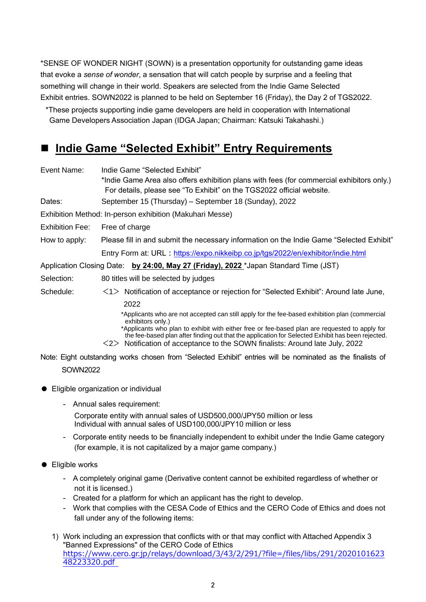\*SENSE OF WONDER NIGHT (SOWN) is a presentation opportunity for outstanding game ideas that evoke a *sense of wonder*, a sensation that will catch people by surprise and a feeling that something will change in their world. Speakers are selected from the Indie Game Selected Exhibit entries. SOWN2022 is planned to be held on September 16 (Friday), the Day 2 of TGS2022.

\*These projects supporting indie game developers are held in cooperation with International Game Developers Association Japan (IDGA Japan; Chairman: Katsuki Takahashi.)

## **Indie Game "Selected Exhibit" Entry Requirements**

Event Name: Indie Game "Selected Exhibit"

\*Indie Game Area also offers exhibition plans with fees (for commercial exhibitors only.) For details, please see "To Exhibit" on the TGS2022 official website. Dates: September 15 (Thursday) – September 18 (Sunday), 2022 Exhibition Method: In-person exhibition (Makuhari Messe) Exhibition Fee: Free of charge How to apply: Please fill in and submit the necessary information on the Indie Game "Selected Exhibit" Entry Form at: URL: <https://expo.nikkeibp.co.jp/tgs/2022/en/exhibitor/indie.html> Application Closing Date: **by 24:00, May 27 (Friday), 2022** \*Japan Standard Time (JST) Selection: 80 titles will be selected by judges Schedule:  $\langle 1 \rangle$  Notification of acceptance or rejection for "Selected Exhibit": Around late June, 2022 \*Applicants who are not accepted can still apply for the fee-based exhibition plan (commercial exhibitors only.) \*Applicants who plan to exhibit with either free or fee-based plan are requested to apply for the fee-based plan after finding out that the application for Selected Exhibit has been rejected.

 $\langle 2 \rangle$  Notification of acceptance to the SOWN finalists: Around late July, 2022

Note: Eight outstanding works chosen from "Selected Exhibit" entries will be nominated as the finalists of SOWN2022

- Eligible organization or individual
	- Annual sales requirement:

Corporate entity with annual sales of USD500,000/JPY50 million or less Individual with annual sales of USD100,000/JPY10 million or less

- Corporate entity needs to be financially independent to exhibit under the Indie Game category (for example, it is not capitalized by a major game company.)

#### ● Eligible works

- A completely original game (Derivative content cannot be exhibited regardless of whether or not it is licensed.)
- Created for a platform for which an applicant has the right to develop.
- Work that complies with the CESA Code of Ethics and the CERO Code of Ethics and does not fall under any of the following items:
- 1) Work including an expression that conflicts with or that may conflict with Attached Appendix 3 "Banned Expressions" of the CERO Code of Ethics [https://www.cero.gr.jp/relays/download/3/43/2/291/?file=/files/libs/291/2020101623](about:blank) [48223320.pdf](about:blank)